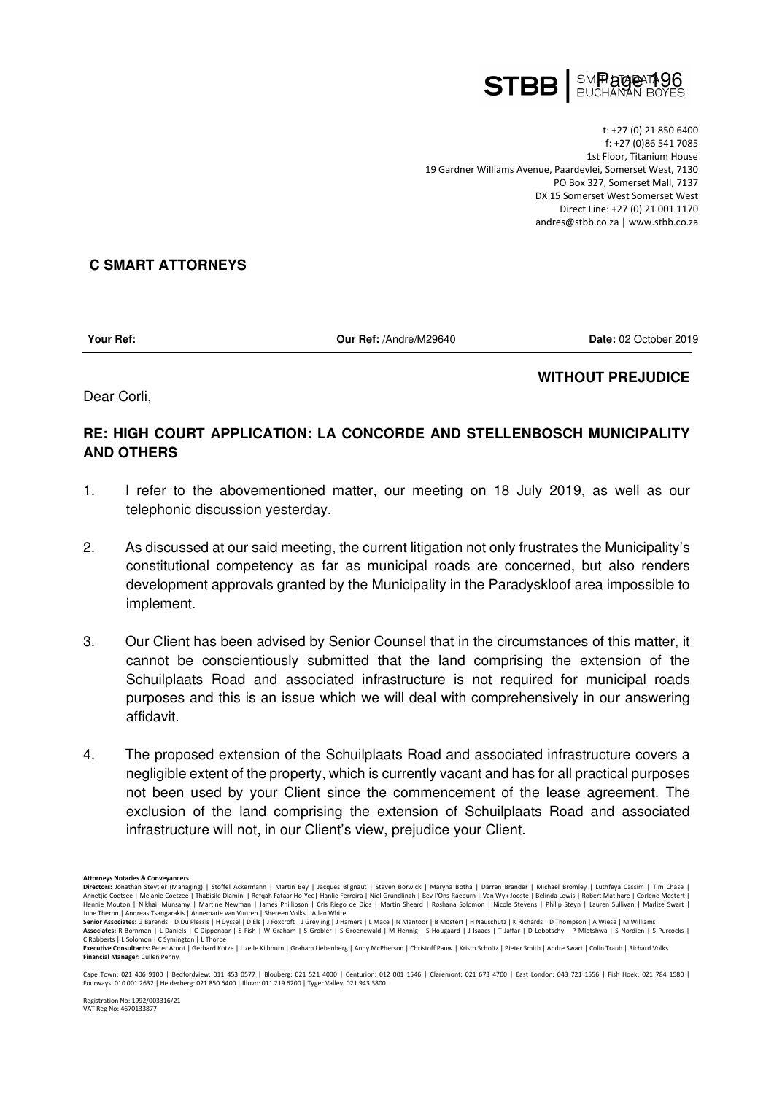

t: +27 (0) 21 850 6400 f: +27 (0)86 541 7085 1st Floor, Titanium House 19 Gardner Williams Avenue, Paardevlei, Somerset West, 7130 PO Box 327, Somerset Mall, 7137 DX 15 Somerset West Somerset West Direct Line: +27 (0) 21 001 1170 andres@stbb.co.za | www.stbb.co.za

## **C SMART ATTORNEYS**

**Your Ref: Our Ref:** /Andre/M29640 **Date:** 02 October 2019

**WITHOUT PREJUDICE** 

## Dear Corli,

## **RE: HIGH COURT APPLICATION: LA CONCORDE AND STELLENBOSCH MUNICIPALITY AND OTHERS**

- 1. I refer to the abovementioned matter, our meeting on 18 July 2019, as well as our telephonic discussion yesterday.
- 2. As discussed at our said meeting, the current litigation not only frustrates the Municipality's constitutional competency as far as municipal roads are concerned, but also renders development approvals granted by the Municipality in the Paradyskloof area impossible to implement.
- 3. Our Client has been advised by Senior Counsel that in the circumstances of this matter, it cannot be conscientiously submitted that the land comprising the extension of the Schuilplaats Road and associated infrastructure is not required for municipal roads purposes and this is an issue which we will deal with comprehensively in our answering affidavit.
- 4. The proposed extension of the Schuilplaats Road and associated infrastructure covers a negligible extent of the property, which is currently vacant and has for all practical purposes not been used by your Client since the commencement of the lease agreement. The exclusion of the land comprising the extension of Schuilplaats Road and associated infrastructure will not, in our Client's view, prejudice your Client.
- **Attorneys Notaries & Conveyancers**

**Directors:** Jonathan Steytler (Managing) | Stoffel Ackermann | Martin Bey | Jacques Blignaut | Steven Borwick | Maryna Botha | Darren Brander | Michael Bromley | Luthfeya Cassim | Tim Chase | Annetjie Coetsee | Melanie Coetzee | Thabisile Dlamini | Refqah Fataar Ho-Yee| Hanlie Ferreira | Niel Grundlingh | Bev l'Ons-Raeburn | Van Wyk Jooste | Belinda Lewis | Robert Mathare | Corlene Mostert |<br>Hennie Mouton | Nik June Theron | Andreas Tsangarakis | Annemarie van Vuuren | Shereen Volks | Allan White

**Senior Associates:** G Barends | D Du Plessis | H Dyssel | D Els | J Foxcroft | J Greyling | J Hamers | L Mace | N Mentoor | B Mostert | H Nauschutz | K Richards | D Thompson | A Wiese | M Williams **Associates:** R Bornman | L Daniels | C Dippenaar | S Fish | W Graham | S Grobler | S Groenewald | M Hennig | S Hougaard | J Isaacs | T Jaffar | D Lebotschy | P Mlotshwa | S Nordien | S Purcocks |

C Robberts | L Solomon | C Symington | L Thorpe<br>Executive Consultants: Peter Arnot | Gerhard Kotze | Lizelle Kilbourn | Graham Liebenberg | Andy McPherson | Christoff Pauw | Kristo Scholtz | Pieter Smith | Andre Swart | Co **Financial Manager:** Cullen Penny

Cape Town: 021 406 9100 | Bedfordview: 011 453 0577 | Blouberg: 021 521 4000 | Centurion: 012 001 1546 | Claremont: 021 673 4700 | East London: 043 721 1556 | Fish Hoek: 021 784 1580 | Fourways: 010 001 2632 | Helderberg: 021 850 6400 | Illovo: 011 219 6200 | Tyger Valley: 021 943 3800